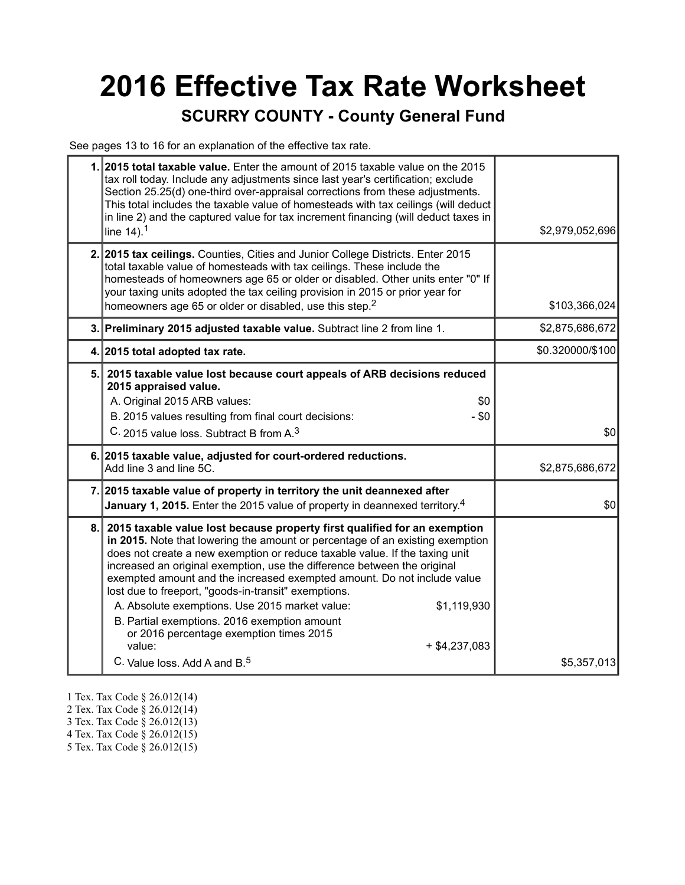# **2016 Effective Tax Rate Worksheet**

#### **SCURRY COUNTY - County General Fund**

See pages 13 to 16 for an explanation of the effective tax rate.

| 1. 2015 total taxable value. Enter the amount of 2015 taxable value on the 2015<br>tax roll today. Include any adjustments since last year's certification; exclude<br>Section 25.25(d) one-third over-appraisal corrections from these adjustments.<br>This total includes the taxable value of homesteads with tax ceilings (will deduct<br>in line 2) and the captured value for tax increment financing (will deduct taxes in<br>line $14$ ). <sup>1</sup>                                                                                                                                                                                                                                   | \$2,979,052,696  |
|--------------------------------------------------------------------------------------------------------------------------------------------------------------------------------------------------------------------------------------------------------------------------------------------------------------------------------------------------------------------------------------------------------------------------------------------------------------------------------------------------------------------------------------------------------------------------------------------------------------------------------------------------------------------------------------------------|------------------|
| 2. 2015 tax ceilings. Counties, Cities and Junior College Districts. Enter 2015<br>total taxable value of homesteads with tax ceilings. These include the<br>homesteads of homeowners age 65 or older or disabled. Other units enter "0" If<br>your taxing units adopted the tax ceiling provision in 2015 or prior year for<br>homeowners age 65 or older or disabled, use this step. <sup>2</sup>                                                                                                                                                                                                                                                                                              | \$103,366,024    |
| 3. Preliminary 2015 adjusted taxable value. Subtract line 2 from line 1.                                                                                                                                                                                                                                                                                                                                                                                                                                                                                                                                                                                                                         | \$2,875,686,672  |
| 4. 2015 total adopted tax rate.                                                                                                                                                                                                                                                                                                                                                                                                                                                                                                                                                                                                                                                                  | \$0.320000/\$100 |
| 5. 2015 taxable value lost because court appeals of ARB decisions reduced<br>2015 appraised value.<br>A. Original 2015 ARB values:<br>\$0<br>B. 2015 values resulting from final court decisions:<br>$-$ \$0<br>C. 2015 value loss. Subtract B from A. <sup>3</sup>                                                                                                                                                                                                                                                                                                                                                                                                                              | \$0              |
| 6. 2015 taxable value, adjusted for court-ordered reductions.<br>Add line 3 and line 5C.                                                                                                                                                                                                                                                                                                                                                                                                                                                                                                                                                                                                         | \$2,875,686,672  |
| 7. 2015 taxable value of property in territory the unit deannexed after<br><b>January 1, 2015.</b> Enter the 2015 value of property in deannexed territory. <sup>4</sup>                                                                                                                                                                                                                                                                                                                                                                                                                                                                                                                         | \$0              |
| 8. 2015 taxable value lost because property first qualified for an exemption<br>in 2015. Note that lowering the amount or percentage of an existing exemption<br>does not create a new exemption or reduce taxable value. If the taxing unit<br>increased an original exemption, use the difference between the original<br>exempted amount and the increased exempted amount. Do not include value<br>lost due to freeport, "goods-in-transit" exemptions.<br>A. Absolute exemptions. Use 2015 market value:<br>\$1,119,930<br>B. Partial exemptions. 2016 exemption amount<br>or 2016 percentage exemption times 2015<br>value:<br>$+$ \$4,237,083<br>C. Value loss, Add A and B. <sup>5</sup> | \$5,357,013      |

- 1 Tex. Tax Code § 26.012(14)
- 2 Tex. Tax Code § 26.012(14)
- 3 Tex. Tax Code § 26.012(13)
- 4 Tex. Tax Code § 26.012(15)
- 5 Tex. Tax Code § 26.012(15)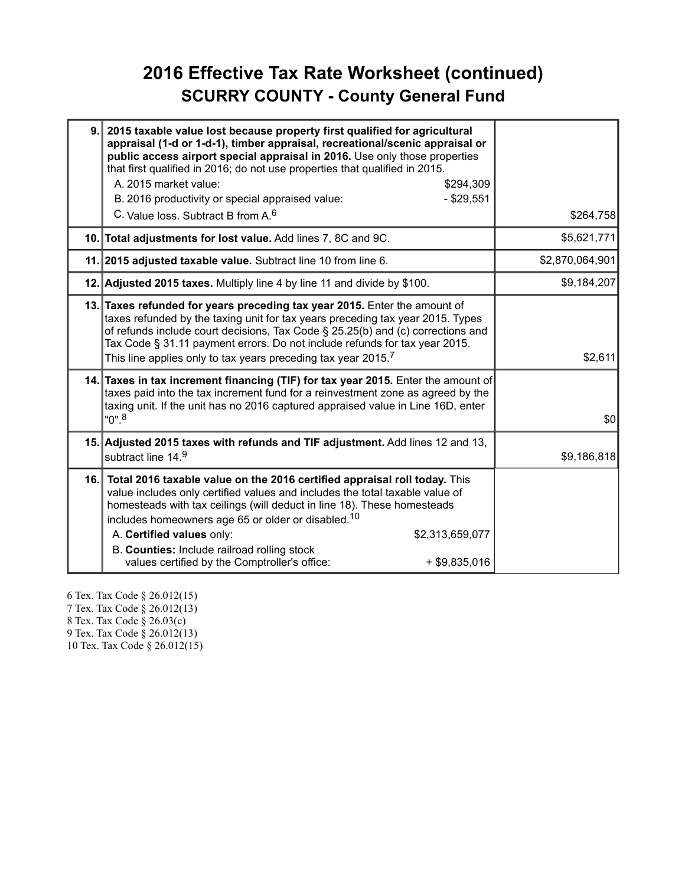#### **2016 Effective Tax Rate Worksheet (continued) SCURRY COUNTY - County General Fund**

| 9. | 2015 taxable value lost because property first qualified for agricultural<br>appraisal (1-d or 1-d-1), timber appraisal, recreational/scenic appraisal or<br>public access airport special appraisal in 2016. Use only those properties<br>that first qualified in 2016; do not use properties that qualified in 2015.<br>A. 2015 market value:<br>\$294,309<br>B. 2016 productivity or special appraised value:<br>$-$ \$29,551<br>C. Value loss, Subtract B from A. <sup>6</sup> | \$264,758       |
|----|------------------------------------------------------------------------------------------------------------------------------------------------------------------------------------------------------------------------------------------------------------------------------------------------------------------------------------------------------------------------------------------------------------------------------------------------------------------------------------|-----------------|
|    | 10. Total adjustments for lost value. Add lines 7, 8C and 9C.                                                                                                                                                                                                                                                                                                                                                                                                                      | \$5,621,771     |
|    | 11. 2015 adjusted taxable value. Subtract line 10 from line 6.                                                                                                                                                                                                                                                                                                                                                                                                                     | \$2,870,064,901 |
|    | 12. Adjusted 2015 taxes. Multiply line 4 by line 11 and divide by \$100.                                                                                                                                                                                                                                                                                                                                                                                                           | \$9,184,207     |
|    | 13. Taxes refunded for years preceding tax year 2015. Enter the amount of<br>taxes refunded by the taxing unit for tax years preceding tax year 2015. Types<br>of refunds include court decisions, Tax Code § 25.25(b) and (c) corrections and<br>Tax Code § 31.11 payment errors. Do not include refunds for tax year 2015.<br>This line applies only to tax years preceding tax year 2015. $^7$                                                                                  | \$2,611         |
|    | 14. Taxes in tax increment financing (TIF) for tax year 2015. Enter the amount of<br>taxes paid into the tax increment fund for a reinvestment zone as agreed by the<br>taxing unit. If the unit has no 2016 captured appraised value in Line 16D, enter<br>"0". <sup>8</sup>                                                                                                                                                                                                      | \$0             |
|    | 15. Adjusted 2015 taxes with refunds and TIF adjustment. Add lines 12 and 13,<br>subtract line 14.9                                                                                                                                                                                                                                                                                                                                                                                | \$9,186,818     |
|    | 16. Total 2016 taxable value on the 2016 certified appraisal roll today. This<br>value includes only certified values and includes the total taxable value of<br>homesteads with tax ceilings (will deduct in line 18). These homesteads<br>includes homeowners age 65 or older or disabled. <sup>10</sup><br>A. Certified values only:<br>\$2,313,659,077<br>B. Counties: Include railroad rolling stock<br>values certified by the Comptroller's office:<br>$+$ \$9,835,016      |                 |

6 Tex. Tax Code § 26.012(15) 7 Tex. Tax Code § 26.012(13) 8 Tex. Tax Code § 26.03(c) 9 Tex. Tax Code § 26.012(13) 10 Tex. Tax Code § 26.012(15)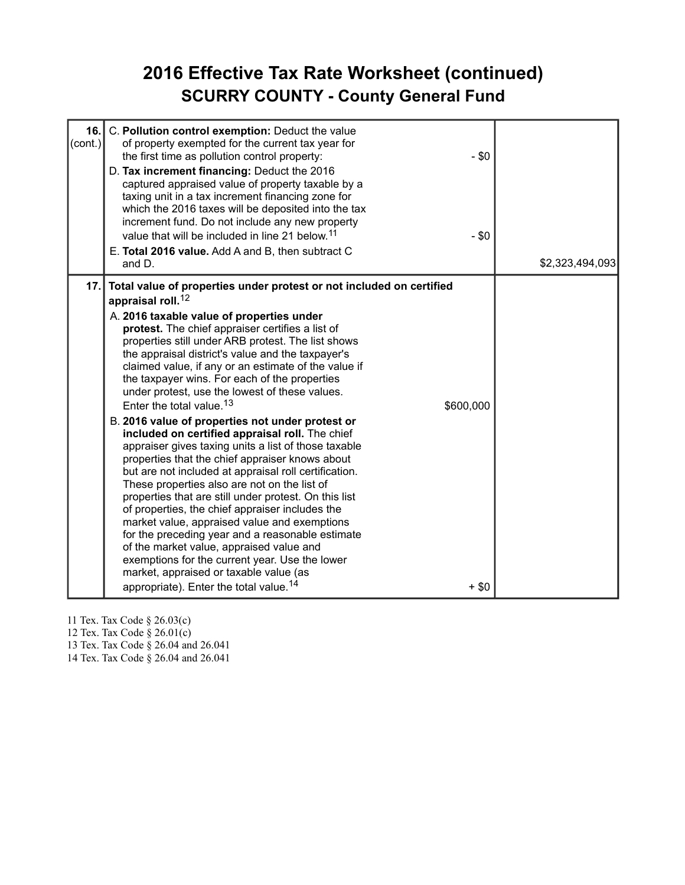#### **2016 Effective Tax Rate Worksheet (continued) SCURRY COUNTY - County General Fund**

| 16.<br>(cont.) | C. Pollution control exemption: Deduct the value<br>of property exempted for the current tax year for<br>the first time as pollution control property:<br>$-$ \$0<br>D. Tax increment financing: Deduct the 2016<br>captured appraised value of property taxable by a<br>taxing unit in a tax increment financing zone for<br>which the 2016 taxes will be deposited into the tax<br>increment fund. Do not include any new property<br>value that will be included in line 21 below. <sup>11</sup><br>$- $0$<br>E. Total 2016 value. Add A and B, then subtract C<br>and D.                                                                                                                                                                                                                                                                                                                                                                                                                                                                                                                                                                                                                                                                                                          | \$2,323,494,093 |
|----------------|---------------------------------------------------------------------------------------------------------------------------------------------------------------------------------------------------------------------------------------------------------------------------------------------------------------------------------------------------------------------------------------------------------------------------------------------------------------------------------------------------------------------------------------------------------------------------------------------------------------------------------------------------------------------------------------------------------------------------------------------------------------------------------------------------------------------------------------------------------------------------------------------------------------------------------------------------------------------------------------------------------------------------------------------------------------------------------------------------------------------------------------------------------------------------------------------------------------------------------------------------------------------------------------|-----------------|
| 17.            | Total value of properties under protest or not included on certified<br>appraisal roll. <sup>12</sup><br>A. 2016 taxable value of properties under<br>protest. The chief appraiser certifies a list of<br>properties still under ARB protest. The list shows<br>the appraisal district's value and the taxpayer's<br>claimed value, if any or an estimate of the value if<br>the taxpayer wins. For each of the properties<br>under protest, use the lowest of these values.<br>Enter the total value. <sup>13</sup><br>\$600,000<br>B. 2016 value of properties not under protest or<br>included on certified appraisal roll. The chief<br>appraiser gives taxing units a list of those taxable<br>properties that the chief appraiser knows about<br>but are not included at appraisal roll certification.<br>These properties also are not on the list of<br>properties that are still under protest. On this list<br>of properties, the chief appraiser includes the<br>market value, appraised value and exemptions<br>for the preceding year and a reasonable estimate<br>of the market value, appraised value and<br>exemptions for the current year. Use the lower<br>market, appraised or taxable value (as<br>appropriate). Enter the total value. <sup>14</sup><br>$+$ \$0 |                 |

11 Tex. Tax Code § 26.03(c)

12 Tex. Tax Code § 26.01(c)

13 Tex. Tax Code § 26.04 and 26.041

14 Tex. Tax Code § 26.04 and 26.041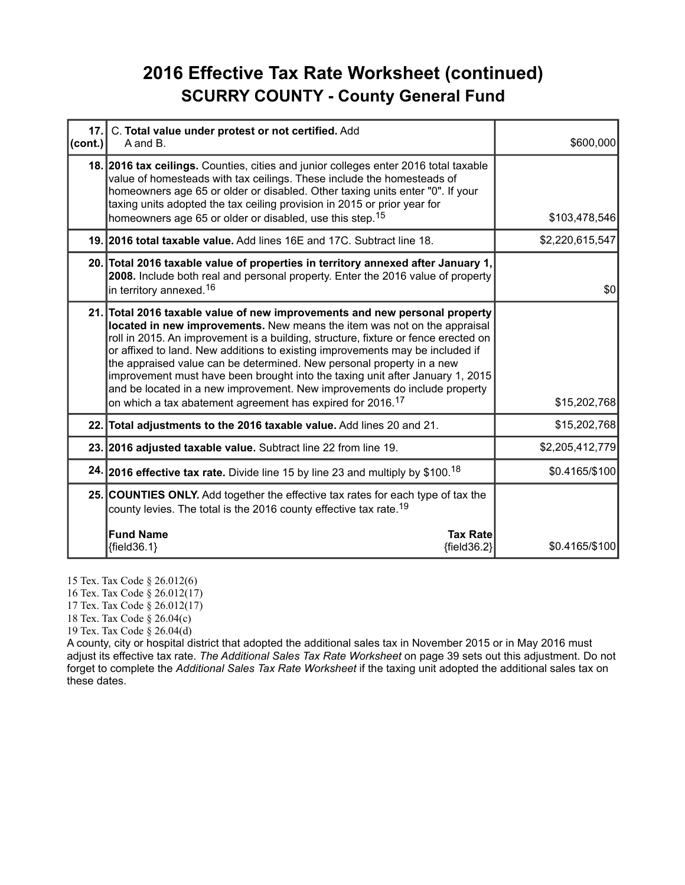#### **2016 Effective Tax Rate Worksheet (continued) SCURRY COUNTY - County General Fund**

| 17.<br>(cont.) | C. Total value under protest or not certified. Add<br>A and B.                                                                                                                                                                                                                                                                                                                                                                                                                                                                                                                                                                                 | \$600,000       |
|----------------|------------------------------------------------------------------------------------------------------------------------------------------------------------------------------------------------------------------------------------------------------------------------------------------------------------------------------------------------------------------------------------------------------------------------------------------------------------------------------------------------------------------------------------------------------------------------------------------------------------------------------------------------|-----------------|
|                | 18. 2016 tax ceilings. Counties, cities and junior colleges enter 2016 total taxable<br>value of homesteads with tax ceilings. These include the homesteads of<br>homeowners age 65 or older or disabled. Other taxing units enter "0". If your<br>taxing units adopted the tax ceiling provision in 2015 or prior year for<br>homeowners age 65 or older or disabled, use this step. <sup>15</sup>                                                                                                                                                                                                                                            | \$103,478,546   |
|                | 19. 2016 total taxable value. Add lines 16E and 17C. Subtract line 18.                                                                                                                                                                                                                                                                                                                                                                                                                                                                                                                                                                         | \$2,220,615,547 |
|                | 20. Total 2016 taxable value of properties in territory annexed after January 1,<br>2008. Include both real and personal property. Enter the 2016 value of property<br>in territory annexed. <sup>16</sup>                                                                                                                                                                                                                                                                                                                                                                                                                                     | \$0             |
|                | 21. Total 2016 taxable value of new improvements and new personal property<br>located in new improvements. New means the item was not on the appraisal<br>roll in 2015. An improvement is a building, structure, fixture or fence erected on<br>or affixed to land. New additions to existing improvements may be included if<br>the appraised value can be determined. New personal property in a new<br>improvement must have been brought into the taxing unit after January 1, 2015<br>and be located in a new improvement. New improvements do include property<br>on which a tax abatement agreement has expired for 2016. <sup>17</sup> | \$15,202,768    |
|                | 22. Total adjustments to the 2016 taxable value. Add lines 20 and 21.                                                                                                                                                                                                                                                                                                                                                                                                                                                                                                                                                                          | \$15,202,768    |
|                | 23. 2016 adjusted taxable value. Subtract line 22 from line 19.                                                                                                                                                                                                                                                                                                                                                                                                                                                                                                                                                                                | \$2,205,412,779 |
|                | 24. 2016 effective tax rate. Divide line 15 by line 23 and multiply by \$100. <sup>18</sup>                                                                                                                                                                                                                                                                                                                                                                                                                                                                                                                                                    | \$0.4165/\$100  |
|                | 25. COUNTIES ONLY. Add together the effective tax rates for each type of tax the<br>county levies. The total is the 2016 county effective tax rate. <sup>19</sup>                                                                                                                                                                                                                                                                                                                                                                                                                                                                              |                 |
|                | <b>Fund Name</b><br><b>Tax Rate</b><br>${field36.1}$<br>${field36.2}$                                                                                                                                                                                                                                                                                                                                                                                                                                                                                                                                                                          | \$0.4165/\$100  |

15 Tex. Tax Code § 26.012(6)

16 Tex. Tax Code § 26.012(17)

17 Tex. Tax Code § 26.012(17)

18 Tex. Tax Code § 26.04(c)

19 Tex. Tax Code § 26.04(d)

A county, city or hospital district that adopted the additional sales tax in November 2015 or in May 2016 must adjust its effective tax rate. *The Additional Sales Tax Rate Worksheet* on page 39 sets out this adjustment. Do not forget to complete the *Additional Sales Tax Rate Worksheet* if the taxing unit adopted the additional sales tax on these dates.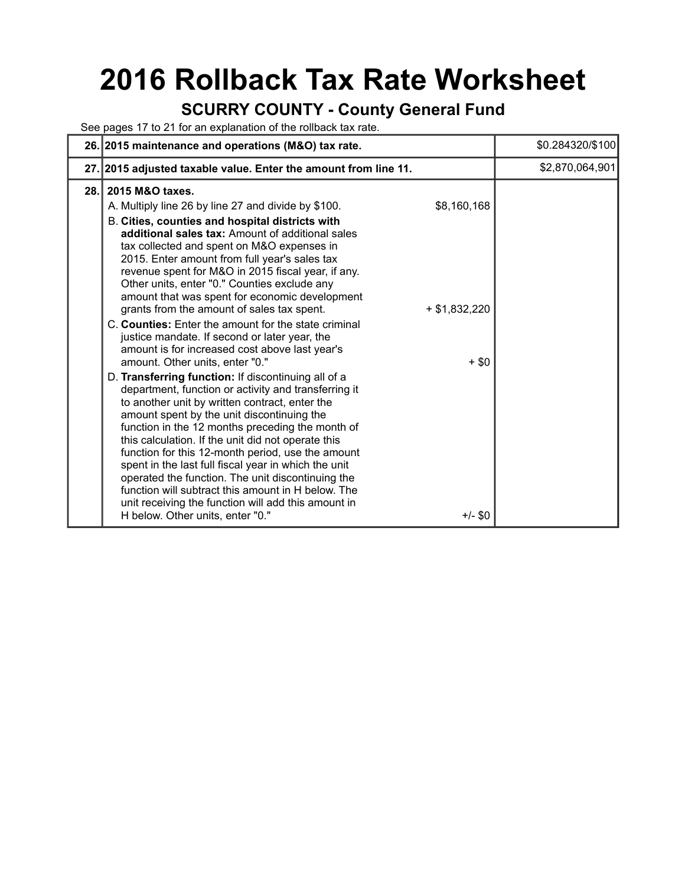## **2016 Rollback Tax Rate Worksheet**

#### **SCURRY COUNTY - County General Fund**

See pages 17 to 21 for an explanation of the rollback tax rate.

|     | 26. 2015 maintenance and operations (M&O) tax rate.                                                                                                                                                                                                                                                                                                                                                                                                                                                                                                                                                                                                                                                                                                                                                                                    |                                | \$0.284320/\$100 |
|-----|----------------------------------------------------------------------------------------------------------------------------------------------------------------------------------------------------------------------------------------------------------------------------------------------------------------------------------------------------------------------------------------------------------------------------------------------------------------------------------------------------------------------------------------------------------------------------------------------------------------------------------------------------------------------------------------------------------------------------------------------------------------------------------------------------------------------------------------|--------------------------------|------------------|
|     | 27. 2015 adjusted taxable value. Enter the amount from line 11.                                                                                                                                                                                                                                                                                                                                                                                                                                                                                                                                                                                                                                                                                                                                                                        |                                | \$2,870,064,901  |
| 28. | 2015 M&O taxes.<br>A. Multiply line 26 by line 27 and divide by \$100.<br>B. Cities, counties and hospital districts with<br>additional sales tax: Amount of additional sales<br>tax collected and spent on M&O expenses in<br>2015. Enter amount from full year's sales tax<br>revenue spent for M&O in 2015 fiscal year, if any.<br>Other units, enter "0." Counties exclude any<br>amount that was spent for economic development<br>grants from the amount of sales tax spent.                                                                                                                                                                                                                                                                                                                                                     | \$8,160,168<br>$+$ \$1,832,220 |                  |
|     | C. Counties: Enter the amount for the state criminal<br>justice mandate. If second or later year, the<br>amount is for increased cost above last year's<br>amount. Other units, enter "0."<br>D. Transferring function: If discontinuing all of a<br>department, function or activity and transferring it<br>to another unit by written contract, enter the<br>amount spent by the unit discontinuing the<br>function in the 12 months preceding the month of<br>this calculation. If the unit did not operate this<br>function for this 12-month period, use the amount<br>spent in the last full fiscal year in which the unit<br>operated the function. The unit discontinuing the<br>function will subtract this amount in H below. The<br>unit receiving the function will add this amount in<br>H below. Other units, enter "0." | $+$ \$0<br>$+/-$ \$0           |                  |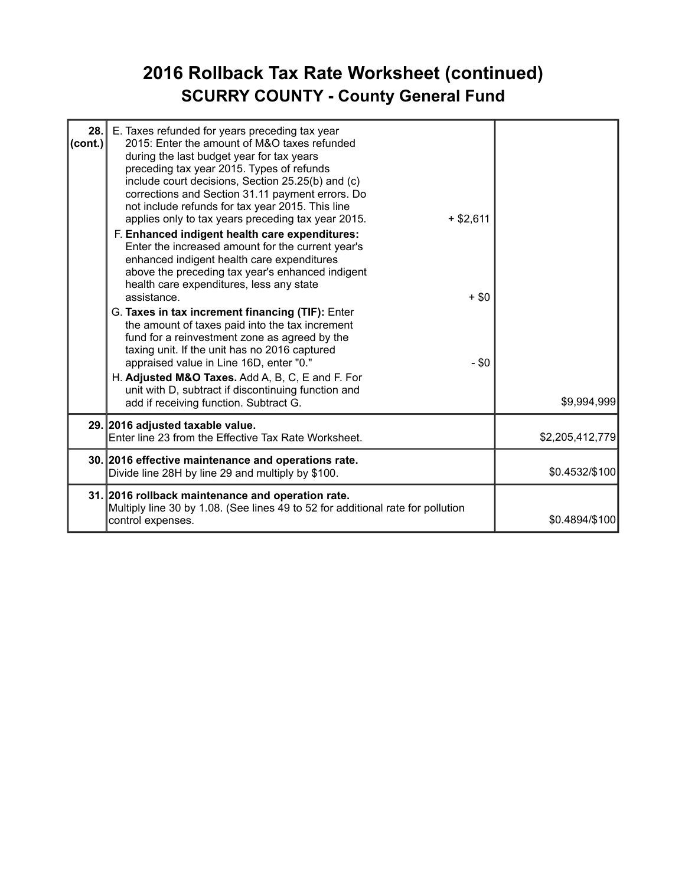### **2016 Rollback Tax Rate Worksheet (continued) SCURRY COUNTY - County General Fund**

| 28.<br>(cont.) | E. Taxes refunded for years preceding tax year<br>2015: Enter the amount of M&O taxes refunded<br>during the last budget year for tax years<br>preceding tax year 2015. Types of refunds<br>include court decisions, Section 25.25(b) and (c)<br>corrections and Section 31.11 payment errors. Do<br>not include refunds for tax year 2015. This line<br>applies only to tax years preceding tax year 2015.<br>$+$ \$2,611<br>F. Enhanced indigent health care expenditures:<br>Enter the increased amount for the current year's<br>enhanced indigent health care expenditures<br>above the preceding tax year's enhanced indigent<br>health care expenditures, less any state<br>assistance<br>$+$ \$0<br>G. Taxes in tax increment financing (TIF): Enter<br>the amount of taxes paid into the tax increment<br>fund for a reinvestment zone as agreed by the<br>taxing unit. If the unit has no 2016 captured<br>appraised value in Line 16D, enter "0."<br>$- $0$<br>H. Adjusted M&O Taxes. Add A, B, C, E and F. For<br>unit with D, subtract if discontinuing function and<br>add if receiving function. Subtract G. | \$9,994,999     |
|----------------|-----------------------------------------------------------------------------------------------------------------------------------------------------------------------------------------------------------------------------------------------------------------------------------------------------------------------------------------------------------------------------------------------------------------------------------------------------------------------------------------------------------------------------------------------------------------------------------------------------------------------------------------------------------------------------------------------------------------------------------------------------------------------------------------------------------------------------------------------------------------------------------------------------------------------------------------------------------------------------------------------------------------------------------------------------------------------------------------------------------------------------|-----------------|
|                | 29. 2016 adjusted taxable value.<br>Enter line 23 from the Effective Tax Rate Worksheet.                                                                                                                                                                                                                                                                                                                                                                                                                                                                                                                                                                                                                                                                                                                                                                                                                                                                                                                                                                                                                                    | \$2,205,412,779 |
|                | 30. 2016 effective maintenance and operations rate.<br>Divide line 28H by line 29 and multiply by \$100.                                                                                                                                                                                                                                                                                                                                                                                                                                                                                                                                                                                                                                                                                                                                                                                                                                                                                                                                                                                                                    | \$0.4532/\$100  |
|                | 31. 2016 rollback maintenance and operation rate.<br>Multiply line 30 by 1.08. (See lines 49 to 52 for additional rate for pollution<br>control expenses.                                                                                                                                                                                                                                                                                                                                                                                                                                                                                                                                                                                                                                                                                                                                                                                                                                                                                                                                                                   | \$0.4894/\$100  |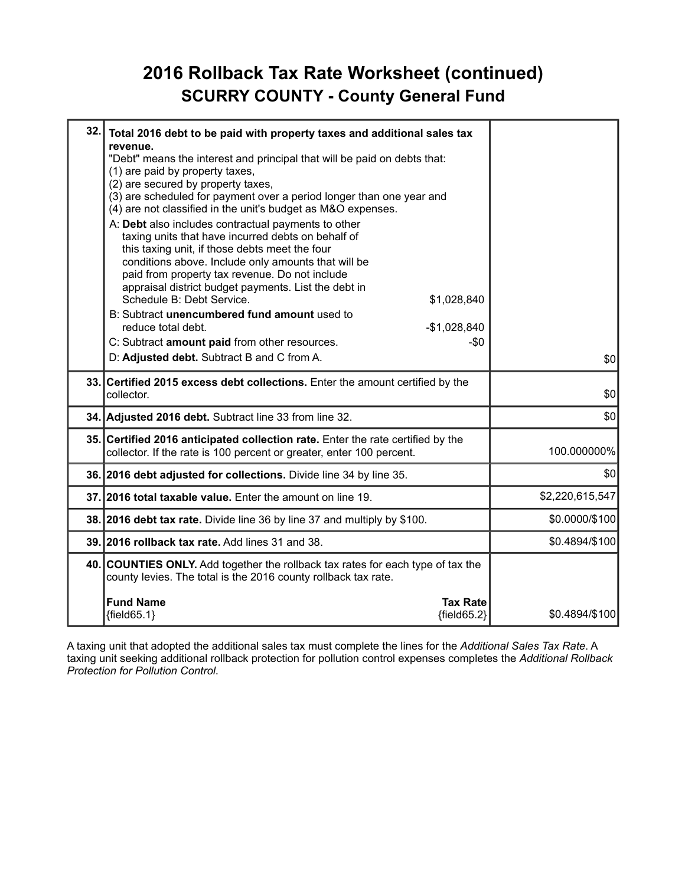#### **2016 Rollback Tax Rate Worksheet (continued) SCURRY COUNTY - County General Fund**

| 32. | Total 2016 debt to be paid with property taxes and additional sales tax<br>revenue.                                                                                                                                                                                                                                                                                      |                 |
|-----|--------------------------------------------------------------------------------------------------------------------------------------------------------------------------------------------------------------------------------------------------------------------------------------------------------------------------------------------------------------------------|-----------------|
|     | "Debt" means the interest and principal that will be paid on debts that:<br>(1) are paid by property taxes,                                                                                                                                                                                                                                                              |                 |
|     | (2) are secured by property taxes,<br>(3) are scheduled for payment over a period longer than one year and<br>(4) are not classified in the unit's budget as M&O expenses.                                                                                                                                                                                               |                 |
|     | A: Debt also includes contractual payments to other<br>taxing units that have incurred debts on behalf of<br>this taxing unit, if those debts meet the four<br>conditions above. Include only amounts that will be<br>paid from property tax revenue. Do not include<br>appraisal district budget payments. List the debt in<br>Schedule B: Debt Service.<br>\$1,028,840 |                 |
|     | B: Subtract unencumbered fund amount used to<br>reduce total debt.<br>$-$1,028,840$                                                                                                                                                                                                                                                                                      |                 |
|     | C: Subtract amount paid from other resources.<br>$-\$0$                                                                                                                                                                                                                                                                                                                  |                 |
|     | D: Adjusted debt. Subtract B and C from A.                                                                                                                                                                                                                                                                                                                               | \$0             |
|     | 33. Certified 2015 excess debt collections. Enter the amount certified by the<br>collector.                                                                                                                                                                                                                                                                              | \$0             |
|     | 34. Adjusted 2016 debt. Subtract line 33 from line 32.                                                                                                                                                                                                                                                                                                                   | \$0             |
|     | 35. Certified 2016 anticipated collection rate. Enter the rate certified by the<br>collector. If the rate is 100 percent or greater, enter 100 percent.                                                                                                                                                                                                                  | 100.000000%     |
|     | 36. 2016 debt adjusted for collections. Divide line 34 by line 35.                                                                                                                                                                                                                                                                                                       | \$0             |
|     | 37. 2016 total taxable value. Enter the amount on line 19.                                                                                                                                                                                                                                                                                                               | \$2,220,615,547 |
|     | 38. 2016 debt tax rate. Divide line 36 by line 37 and multiply by \$100.                                                                                                                                                                                                                                                                                                 | \$0.0000/\$100  |
|     | 39. 2016 rollback tax rate. Add lines 31 and 38.                                                                                                                                                                                                                                                                                                                         | \$0.4894/\$100  |
|     | 40. COUNTIES ONLY. Add together the rollback tax rates for each type of tax the<br>county levies. The total is the 2016 county rollback tax rate.                                                                                                                                                                                                                        |                 |
|     | <b>Fund Name</b><br><b>Tax Rate</b><br>${field65.1}$<br>${fields2}$                                                                                                                                                                                                                                                                                                      | \$0.4894/\$100  |

A taxing unit that adopted the additional sales tax must complete the lines for the *Additional Sales Tax Rate*. A taxing unit seeking additional rollback protection for pollution control expenses completes the *Additional Rollback Protection for Pollution Control*.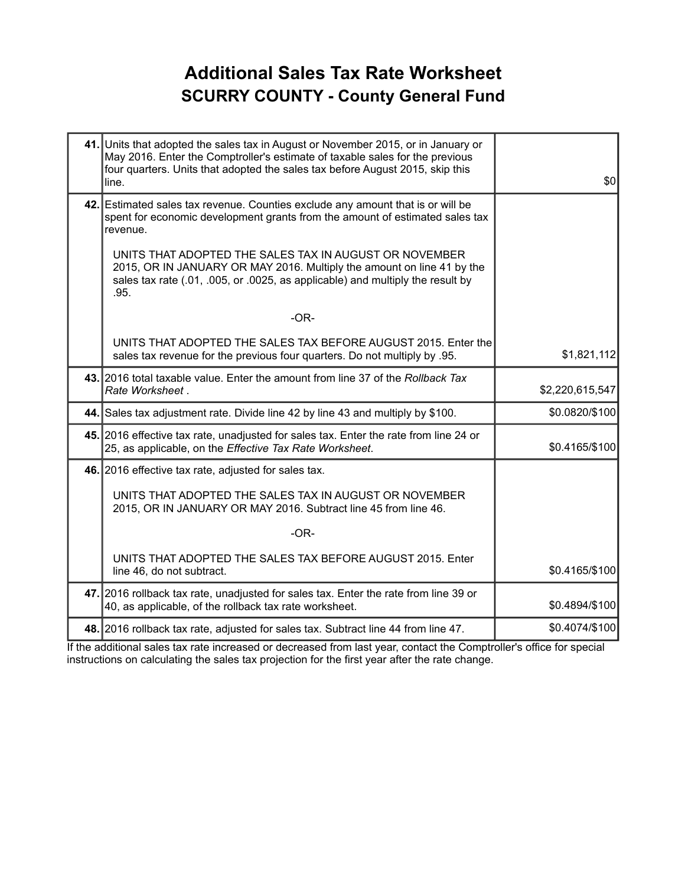#### **Additional Sales Tax Rate Worksheet SCURRY COUNTY - County General Fund**

| 41. Units that adopted the sales tax in August or November 2015, or in January or<br>May 2016. Enter the Comptroller's estimate of taxable sales for the previous<br>four quarters. Units that adopted the sales tax before August 2015, skip this<br>line. | \$0             |
|-------------------------------------------------------------------------------------------------------------------------------------------------------------------------------------------------------------------------------------------------------------|-----------------|
| 42. Estimated sales tax revenue. Counties exclude any amount that is or will be<br>spent for economic development grants from the amount of estimated sales tax<br>revenue.                                                                                 |                 |
| UNITS THAT ADOPTED THE SALES TAX IN AUGUST OR NOVEMBER<br>2015, OR IN JANUARY OR MAY 2016. Multiply the amount on line 41 by the<br>sales tax rate (.01, .005, or .0025, as applicable) and multiply the result by<br>.95.                                  |                 |
| $-OR-$                                                                                                                                                                                                                                                      |                 |
| UNITS THAT ADOPTED THE SALES TAX BEFORE AUGUST 2015. Enter the<br>sales tax revenue for the previous four quarters. Do not multiply by .95.                                                                                                                 | \$1,821,112     |
| 43. 2016 total taxable value. Enter the amount from line 37 of the Rollback Tax<br>Rate Worksheet.                                                                                                                                                          | \$2,220,615,547 |
| 44. Sales tax adjustment rate. Divide line 42 by line 43 and multiply by \$100.                                                                                                                                                                             | \$0.0820/\$100  |
| 45. 2016 effective tax rate, unadjusted for sales tax. Enter the rate from line 24 or<br>25, as applicable, on the Effective Tax Rate Worksheet.                                                                                                            | \$0.4165/\$100  |
| 46. 2016 effective tax rate, adjusted for sales tax.                                                                                                                                                                                                        |                 |
| UNITS THAT ADOPTED THE SALES TAX IN AUGUST OR NOVEMBER<br>2015, OR IN JANUARY OR MAY 2016. Subtract line 45 from line 46.                                                                                                                                   |                 |
| $-OR-$                                                                                                                                                                                                                                                      |                 |
| UNITS THAT ADOPTED THE SALES TAX BEFORE AUGUST 2015. Enter<br>line 46, do not subtract.                                                                                                                                                                     | \$0.4165/\$100  |
| 47. 2016 rollback tax rate, unadjusted for sales tax. Enter the rate from line 39 or<br>40, as applicable, of the rollback tax rate worksheet.                                                                                                              | \$0.4894/\$100  |
| 48. 2016 rollback tax rate, adjusted for sales tax. Subtract line 44 from line 47.                                                                                                                                                                          | \$0.4074/\$100  |

If the additional sales tax rate increased or decreased from last year, contact the Comptroller's office for special instructions on calculating the sales tax projection for the first year after the rate change.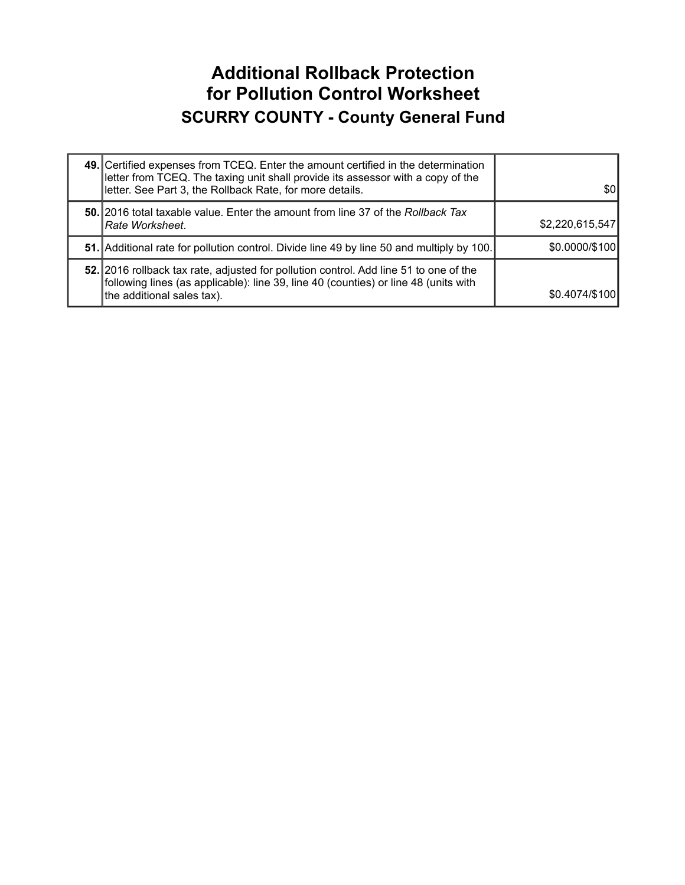#### **Additional Rollback Protection for Pollution Control Worksheet SCURRY COUNTY - County General Fund**

| 49. Certified expenses from TCEQ. Enter the amount certified in the determination<br>letter from TCEQ. The taxing unit shall provide its assessor with a copy of the<br>letter. See Part 3, the Rollback Rate, for more details. | \$01            |
|----------------------------------------------------------------------------------------------------------------------------------------------------------------------------------------------------------------------------------|-----------------|
| 50. 2016 total taxable value. Enter the amount from line 37 of the Rollback Tax<br>I <i>Rate Worksheet.</i>                                                                                                                      | \$2,220,615,547 |
| 51. Additional rate for pollution control. Divide line 49 by line 50 and multiply by 100.                                                                                                                                        | \$0.0000/\$100  |
| 52. 2016 rollback tax rate, adjusted for pollution control. Add line 51 to one of the<br>following lines (as applicable): line 39, line 40 (counties) or line 48 (units with<br>the additional sales tax).                       | \$0.4074/\$100  |